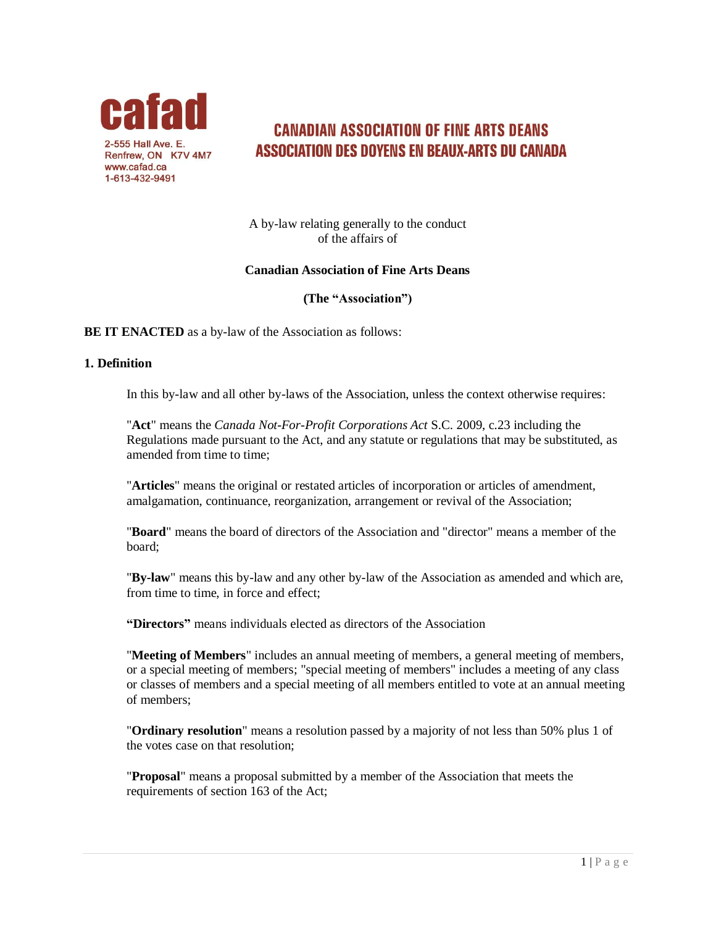

# **CANADIAN ASSOCIATION OF FINE ARTS DEANS ASSOCIATION DES DOYENS EN BEAUX-ARTS DU CANADA**

A by-law relating generally to the conduct of the affairs of

# **Canadian Association of Fine Arts Deans**

# **(The "Association")**

**BE IT ENACTED** as a by-law of the Association as follows:

### **1. Definition**

In this by-law and all other by-laws of the Association, unless the context otherwise requires:

"**Act**" means the *Canada Not-For-Profit Corporations Act* S.C. 2009, c.23 including the Regulations made pursuant to the Act, and any statute or regulations that may be substituted, as amended from time to time;

"**Articles**" means the original or restated articles of incorporation or articles of amendment, amalgamation, continuance, reorganization, arrangement or revival of the Association;

"**Board**" means the board of directors of the Association and "director" means a member of the board;

"**By-law**" means this by-law and any other by-law of the Association as amended and which are, from time to time, in force and effect;

**"Directors"** means individuals elected as directors of the Association

"**Meeting of Members**" includes an annual meeting of members, a general meeting of members, or a special meeting of members; "special meeting of members" includes a meeting of any class or classes of members and a special meeting of all members entitled to vote at an annual meeting of members;

"**Ordinary resolution**" means a resolution passed by a majority of not less than 50% plus 1 of the votes case on that resolution;

"**Proposal**" means a proposal submitted by a member of the Association that meets the requirements of section 163 of the Act;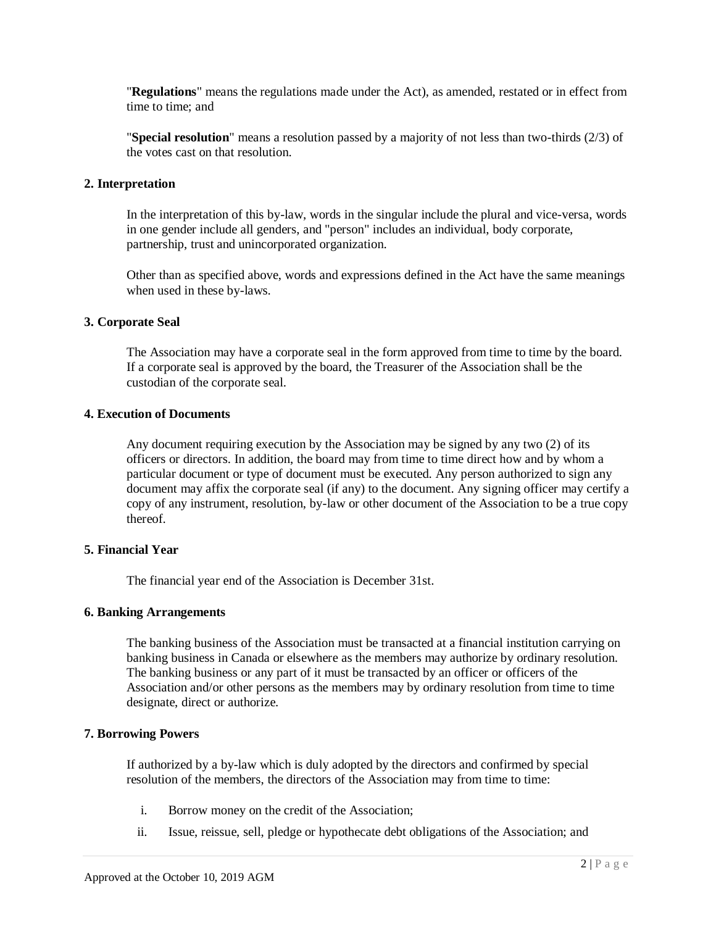"**Regulations**" means the regulations made under the Act), as amended, restated or in effect from time to time; and

"**Special resolution**" means a resolution passed by a majority of not less than two-thirds (2/3) of the votes cast on that resolution.

### **2. Interpretation**

In the interpretation of this by-law, words in the singular include the plural and vice-versa, words in one gender include all genders, and "person" includes an individual, body corporate, partnership, trust and unincorporated organization.

Other than as specified above, words and expressions defined in the Act have the same meanings when used in these by-laws.

### **3. Corporate Seal**

The Association may have a corporate seal in the form approved from time to time by the board. If a corporate seal is approved by the board, the Treasurer of the Association shall be the custodian of the corporate seal.

### **4. Execution of Documents**

Any document requiring execution by the Association may be signed by any two (2) of its officers or directors. In addition, the board may from time to time direct how and by whom a particular document or type of document must be executed. Any person authorized to sign any document may affix the corporate seal (if any) to the document. Any signing officer may certify a copy of any instrument, resolution, by-law or other document of the Association to be a true copy thereof.

# **5. Financial Year**

The financial year end of the Association is December 31st.

#### **6. Banking Arrangements**

The banking business of the Association must be transacted at a financial institution carrying on banking business in Canada or elsewhere as the members may authorize by ordinary resolution. The banking business or any part of it must be transacted by an officer or officers of the Association and/or other persons as the members may by ordinary resolution from time to time designate, direct or authorize.

# **7. Borrowing Powers**

If authorized by a by-law which is duly adopted by the directors and confirmed by special resolution of the members, the directors of the Association may from time to time:

- i. Borrow money on the credit of the Association;
- ii. Issue, reissue, sell, pledge or hypothecate debt obligations of the Association; and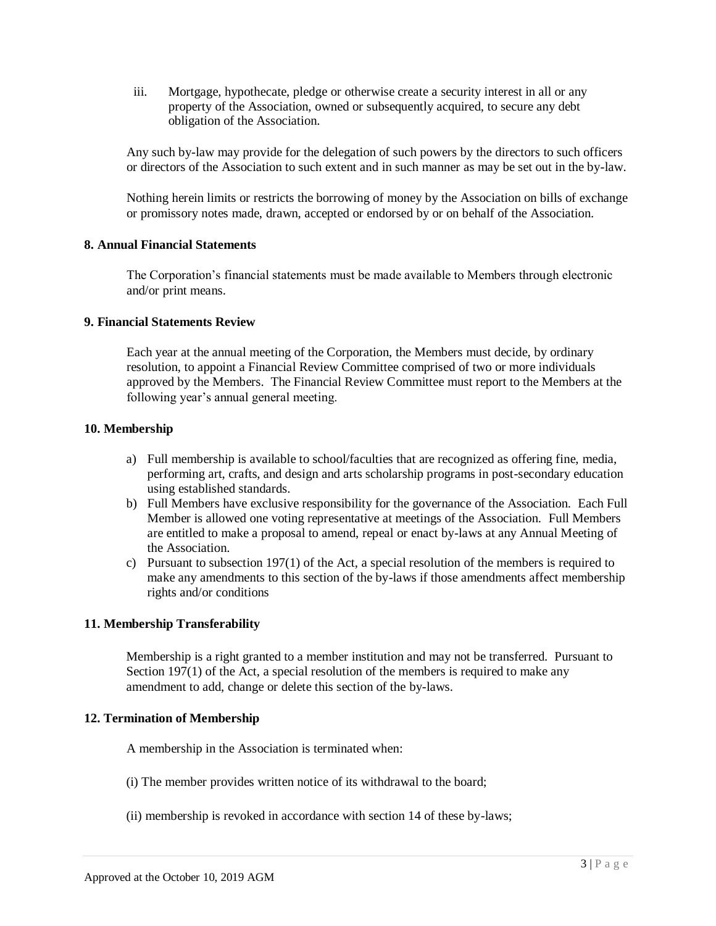iii. Mortgage, hypothecate, pledge or otherwise create a security interest in all or any property of the Association, owned or subsequently acquired, to secure any debt obligation of the Association.

Any such by-law may provide for the delegation of such powers by the directors to such officers or directors of the Association to such extent and in such manner as may be set out in the by-law.

Nothing herein limits or restricts the borrowing of money by the Association on bills of exchange or promissory notes made, drawn, accepted or endorsed by or on behalf of the Association.

# **8. Annual Financial Statements**

The Corporation's financial statements must be made available to Members through electronic and/or print means.

### **9. Financial Statements Review**

Each year at the annual meeting of the Corporation, the Members must decide, by ordinary resolution, to appoint a Financial Review Committee comprised of two or more individuals approved by the Members. The Financial Review Committee must report to the Members at the following year's annual general meeting.

#### **10. Membership**

- a) Full membership is available to school/faculties that are recognized as offering fine, media, performing art, crafts, and design and arts scholarship programs in post-secondary education using established standards.
- b) Full Members have exclusive responsibility for the governance of the Association. Each Full Member is allowed one voting representative at meetings of the Association. Full Members are entitled to make a proposal to amend, repeal or enact by-laws at any Annual Meeting of the Association.
- c) Pursuant to subsection 197(1) of the Act, a special resolution of the members is required to make any amendments to this section of the by-laws if those amendments affect membership rights and/or conditions

# **11. Membership Transferability**

Membership is a right granted to a member institution and may not be transferred. Pursuant to Section 197(1) of the Act, a special resolution of the members is required to make any amendment to add, change or delete this section of the by-laws.

#### **12. Termination of Membership**

A membership in the Association is terminated when:

- (i) The member provides written notice of its withdrawal to the board;
- (ii) membership is revoked in accordance with section 14 of these by-laws;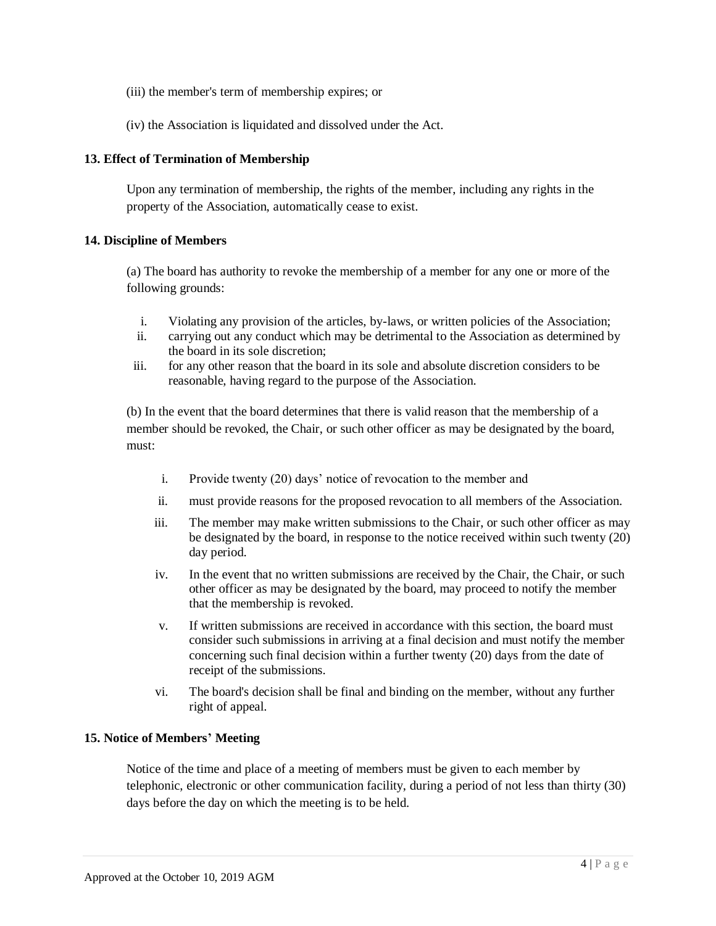- (iii) the member's term of membership expires; or
- (iv) the Association is liquidated and dissolved under the Act.

# **13. Effect of Termination of Membership**

Upon any termination of membership, the rights of the member, including any rights in the property of the Association, automatically cease to exist.

# **14. Discipline of Members**

(a) The board has authority to revoke the membership of a member for any one or more of the following grounds:

- i. Violating any provision of the articles, by-laws, or written policies of the Association;
- ii. carrying out any conduct which may be detrimental to the Association as determined by the board in its sole discretion;
- iii. for any other reason that the board in its sole and absolute discretion considers to be reasonable, having regard to the purpose of the Association.

(b) In the event that the board determines that there is valid reason that the membership of a member should be revoked, the Chair, or such other officer as may be designated by the board, must:

- i. Provide twenty (20) days' notice of revocation to the member and
- ii. must provide reasons for the proposed revocation to all members of the Association.
- iii. The member may make written submissions to the Chair, or such other officer as may be designated by the board, in response to the notice received within such twenty (20) day period.
- iv. In the event that no written submissions are received by the Chair, the Chair, or such other officer as may be designated by the board, may proceed to notify the member that the membership is revoked.
- v. If written submissions are received in accordance with this section, the board must consider such submissions in arriving at a final decision and must notify the member concerning such final decision within a further twenty (20) days from the date of receipt of the submissions.
- vi. The board's decision shall be final and binding on the member, without any further right of appeal.

# **15. Notice of Members' Meeting**

Notice of the time and place of a meeting of members must be given to each member by telephonic, electronic or other communication facility, during a period of not less than thirty (30) days before the day on which the meeting is to be held.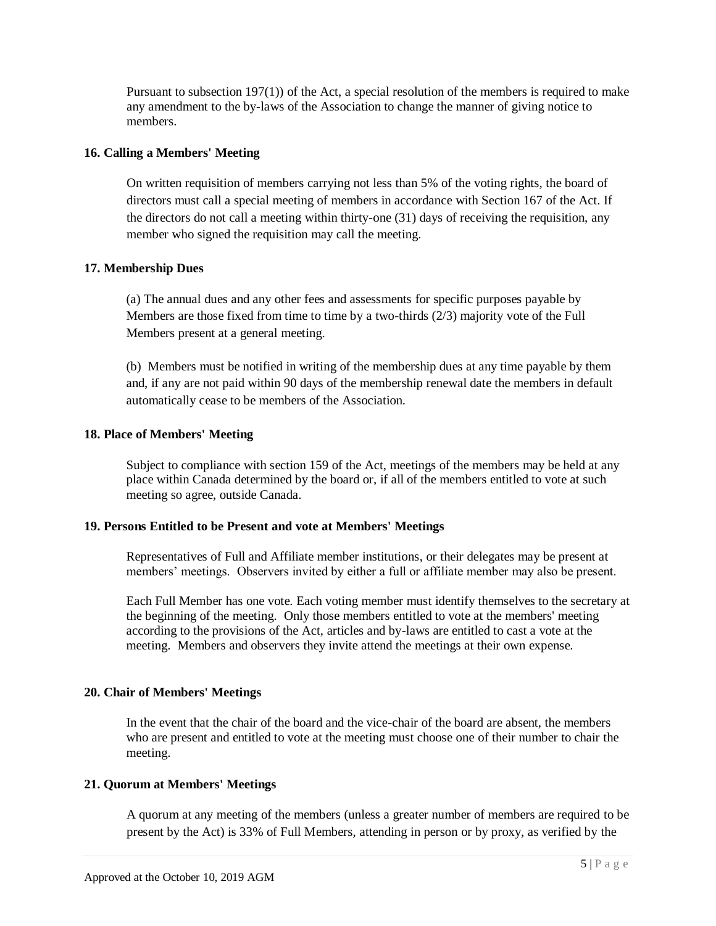Pursuant to subsection 197(1)) of the Act, a special resolution of the members is required to make any amendment to the by-laws of the Association to change the manner of giving notice to members.

### **16. Calling a Members' Meeting**

On written requisition of members carrying not less than 5% of the voting rights, the board of directors must call a special meeting of members in accordance with Section 167 of the Act. If the directors do not call a meeting within thirty-one (31) days of receiving the requisition, any member who signed the requisition may call the meeting.

# **17. Membership Dues**

(a) The annual dues and any other fees and assessments for specific purposes payable by Members are those fixed from time to time by a two-thirds (2/3) majority vote of the Full Members present at a general meeting.

(b) Members must be notified in writing of the membership dues at any time payable by them and, if any are not paid within 90 days of the membership renewal date the members in default automatically cease to be members of the Association.

# **18. Place of Members' Meeting**

Subject to compliance with section 159 of the Act, meetings of the members may be held at any place within Canada determined by the board or, if all of the members entitled to vote at such meeting so agree, outside Canada.

### **19. Persons Entitled to be Present and vote at Members' Meetings**

Representatives of Full and Affiliate member institutions, or their delegates may be present at members' meetings. Observers invited by either a full or affiliate member may also be present.

Each Full Member has one vote. Each voting member must identify themselves to the secretary at the beginning of the meeting. Only those members entitled to vote at the members' meeting according to the provisions of the Act, articles and by-laws are entitled to cast a vote at the meeting. Members and observers they invite attend the meetings at their own expense.

# **20. Chair of Members' Meetings**

In the event that the chair of the board and the vice-chair of the board are absent, the members who are present and entitled to vote at the meeting must choose one of their number to chair the meeting.

#### **21. Quorum at Members' Meetings**

A quorum at any meeting of the members (unless a greater number of members are required to be present by the Act) is 33% of Full Members, attending in person or by proxy, as verified by the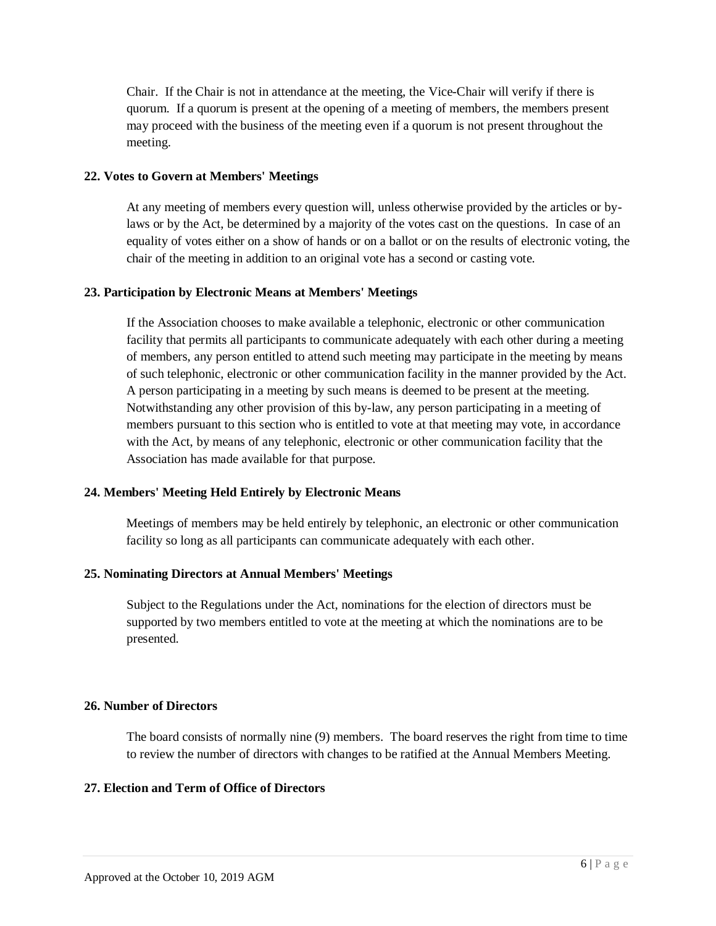Chair. If the Chair is not in attendance at the meeting, the Vice-Chair will verify if there is quorum. If a quorum is present at the opening of a meeting of members, the members present may proceed with the business of the meeting even if a quorum is not present throughout the meeting.

# **22. Votes to Govern at Members' Meetings**

At any meeting of members every question will, unless otherwise provided by the articles or bylaws or by the Act, be determined by a majority of the votes cast on the questions. In case of an equality of votes either on a show of hands or on a ballot or on the results of electronic voting, the chair of the meeting in addition to an original vote has a second or casting vote.

# **23. Participation by Electronic Means at Members' Meetings**

If the Association chooses to make available a telephonic, electronic or other communication facility that permits all participants to communicate adequately with each other during a meeting of members, any person entitled to attend such meeting may participate in the meeting by means of such telephonic, electronic or other communication facility in the manner provided by the Act. A person participating in a meeting by such means is deemed to be present at the meeting. Notwithstanding any other provision of this by-law, any person participating in a meeting of members pursuant to this section who is entitled to vote at that meeting may vote, in accordance with the Act, by means of any telephonic, electronic or other communication facility that the Association has made available for that purpose.

# **24. Members' Meeting Held Entirely by Electronic Means**

Meetings of members may be held entirely by telephonic, an electronic or other communication facility so long as all participants can communicate adequately with each other.

# **25. Nominating Directors at Annual Members' Meetings**

Subject to the Regulations under the Act, nominations for the election of directors must be supported by two members entitled to vote at the meeting at which the nominations are to be presented.

# **26. Number of Directors**

The board consists of normally nine (9) members. The board reserves the right from time to time to review the number of directors with changes to be ratified at the Annual Members Meeting.

# **27. Election and Term of Office of Directors**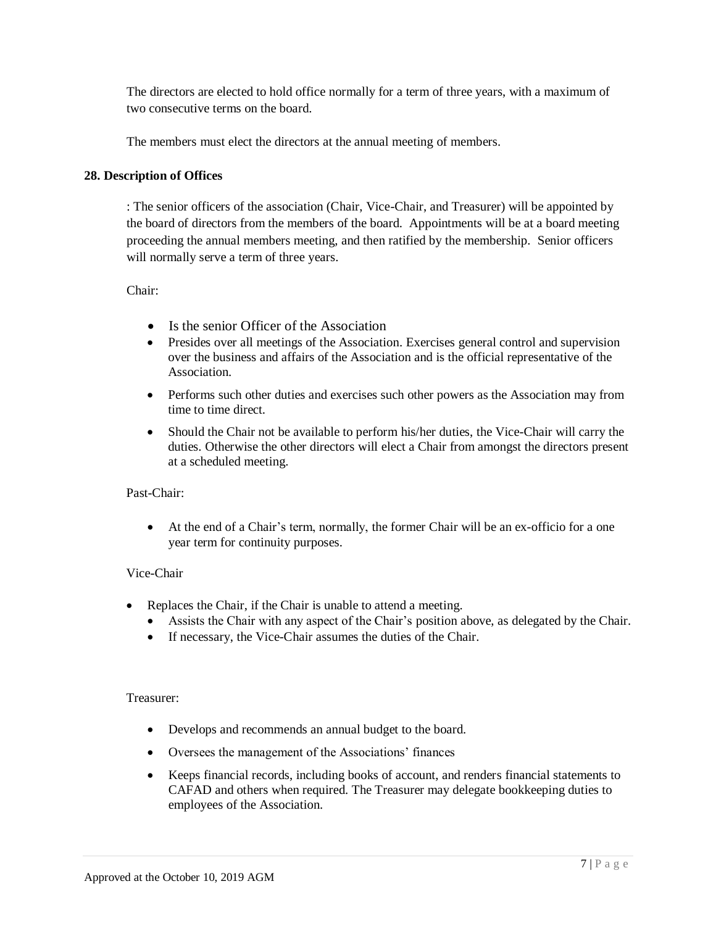The directors are elected to hold office normally for a term of three years, with a maximum of two consecutive terms on the board.

The members must elect the directors at the annual meeting of members.

# **28. Description of Offices**

: The senior officers of the association (Chair, Vice-Chair, and Treasurer) will be appointed by the board of directors from the members of the board. Appointments will be at a board meeting proceeding the annual members meeting, and then ratified by the membership. Senior officers will normally serve a term of three years.

Chair:

- Is the senior Officer of the Association
- Presides over all meetings of the Association. Exercises general control and supervision over the business and affairs of the Association and is the official representative of the Association.
- Performs such other duties and exercises such other powers as the Association may from time to time direct.
- Should the Chair not be available to perform his/her duties, the Vice-Chair will carry the duties. Otherwise the other directors will elect a Chair from amongst the directors present at a scheduled meeting.

# Past-Chair:

 At the end of a Chair's term, normally, the former Chair will be an ex-officio for a one year term for continuity purposes.

# Vice-Chair

- Replaces the Chair, if the Chair is unable to attend a meeting.
	- Assists the Chair with any aspect of the Chair's position above, as delegated by the Chair.
	- If necessary, the Vice-Chair assumes the duties of the Chair.

# Treasurer:

- Develops and recommends an annual budget to the board.
- Oversees the management of the Associations' finances
- Keeps financial records, including books of account, and renders financial statements to CAFAD and others when required. The Treasurer may delegate bookkeeping duties to employees of the Association.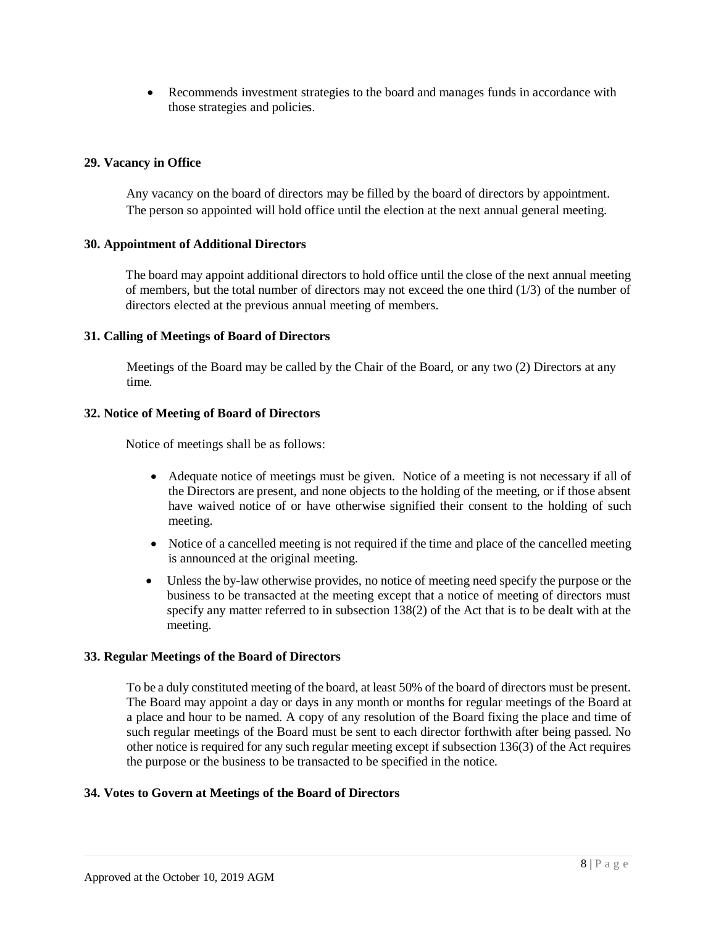Recommends investment strategies to the board and manages funds in accordance with those strategies and policies.

# **29. Vacancy in Office**

Any vacancy on the board of directors may be filled by the board of directors by appointment. The person so appointed will hold office until the election at the next annual general meeting.

# **30. Appointment of Additional Directors**

The board may appoint additional directors to hold office until the close of the next annual meeting of members, but the total number of directors may not exceed the one third (1/3) of the number of directors elected at the previous annual meeting of members.

# **31. Calling of Meetings of Board of Directors**

Meetings of the Board may be called by the Chair of the Board, or any two (2) Directors at any time.

# **32. Notice of Meeting of Board of Directors**

Notice of meetings shall be as follows:

- Adequate notice of meetings must be given. Notice of a meeting is not necessary if all of the Directors are present, and none objects to the holding of the meeting, or if those absent have waived notice of or have otherwise signified their consent to the holding of such meeting.
- Notice of a cancelled meeting is not required if the time and place of the cancelled meeting is announced at the original meeting.
- Unless the by-law otherwise provides, no notice of meeting need specify the purpose or the business to be transacted at the meeting except that a notice of meeting of directors must specify any matter referred to in subsection 138(2) of the Act that is to be dealt with at the meeting.

# **33. Regular Meetings of the Board of Directors**

To be a duly constituted meeting of the board, at least 50% of the board of directors must be present. The Board may appoint a day or days in any month or months for regular meetings of the Board at a place and hour to be named. A copy of any resolution of the Board fixing the place and time of such regular meetings of the Board must be sent to each director forthwith after being passed. No other notice is required for any such regular meeting except if subsection 136(3) of the Act requires the purpose or the business to be transacted to be specified in the notice.

# **34. Votes to Govern at Meetings of the Board of Directors**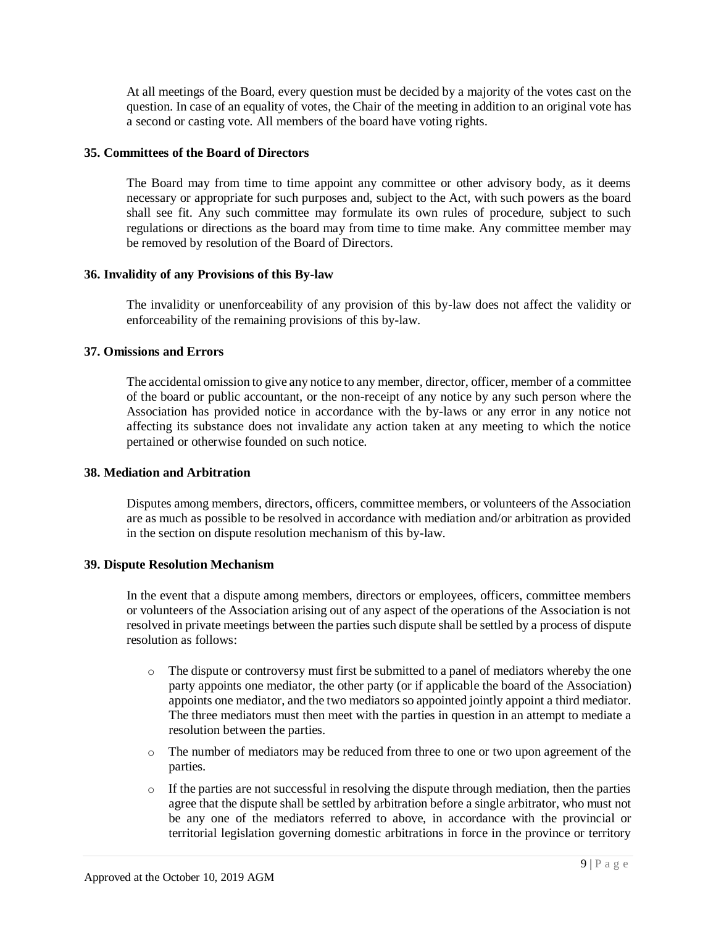At all meetings of the Board, every question must be decided by a majority of the votes cast on the question. In case of an equality of votes, the Chair of the meeting in addition to an original vote has a second or casting vote. All members of the board have voting rights.

### **35. Committees of the Board of Directors**

The Board may from time to time appoint any committee or other advisory body, as it deems necessary or appropriate for such purposes and, subject to the Act, with such powers as the board shall see fit. Any such committee may formulate its own rules of procedure, subject to such regulations or directions as the board may from time to time make. Any committee member may be removed by resolution of the Board of Directors.

### **36. Invalidity of any Provisions of this By-law**

The invalidity or unenforceability of any provision of this by-law does not affect the validity or enforceability of the remaining provisions of this by-law.

### **37. Omissions and Errors**

The accidental omission to give any notice to any member, director, officer, member of a committee of the board or public accountant, or the non-receipt of any notice by any such person where the Association has provided notice in accordance with the by-laws or any error in any notice not affecting its substance does not invalidate any action taken at any meeting to which the notice pertained or otherwise founded on such notice.

# **38. Mediation and Arbitration**

Disputes among members, directors, officers, committee members, or volunteers of the Association are as much as possible to be resolved in accordance with mediation and/or arbitration as provided in the section on dispute resolution mechanism of this by-law.

#### **39. Dispute Resolution Mechanism**

In the event that a dispute among members, directors or employees, officers, committee members or volunteers of the Association arising out of any aspect of the operations of the Association is not resolved in private meetings between the parties such dispute shall be settled by a process of dispute resolution as follows:

- o The dispute or controversy must first be submitted to a panel of mediators whereby the one party appoints one mediator, the other party (or if applicable the board of the Association) appoints one mediator, and the two mediators so appointed jointly appoint a third mediator. The three mediators must then meet with the parties in question in an attempt to mediate a resolution between the parties.
- o The number of mediators may be reduced from three to one or two upon agreement of the parties.
- $\circ$  If the parties are not successful in resolving the dispute through mediation, then the parties agree that the dispute shall be settled by arbitration before a single arbitrator, who must not be any one of the mediators referred to above, in accordance with the provincial or territorial legislation governing domestic arbitrations in force in the province or territory